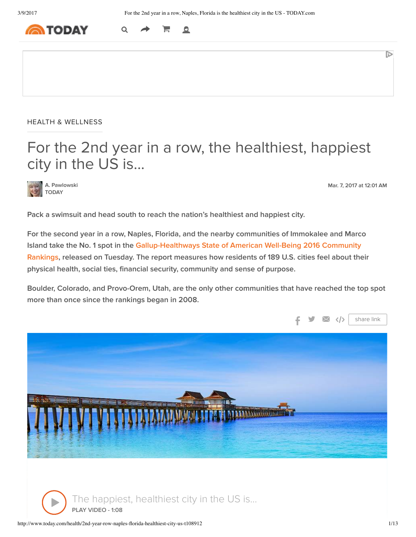

HEALTH & WELLNESS

# For the 2nd year in a row, the healthiest, happiest city in the US is...

A. Pawlowski TODAY

Mar. 7, 2017 at 12:01 AM

D

Pack a swimsuit and head south to reach the nation's healthiest and happiest city.

F

 $\mathbf{Q}$ 

For the second year in a row, Naples, Florida, and the nearby communities of Immokalee and Marco Island take the No. 1 spot in the Gallup-Healthways State of American Well-Being 2016 Community Rankings, released on Tuesday. The report measures how residents of 189 U.S. cities feel about their physical health, social ties, financial security, community and sense of purpose.

Boulder, Colorado, and Provo-Orem, Utah, are the only other communities that have reached the top spot more than once since the rankings began in 2008.



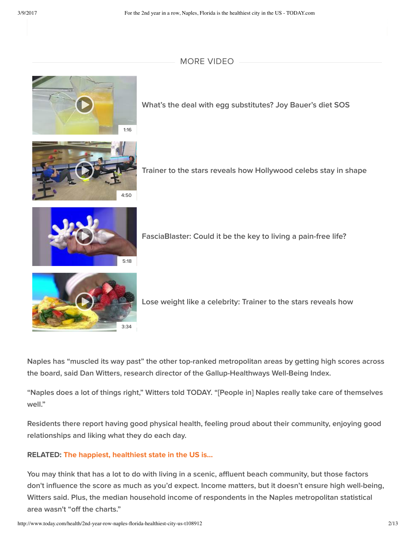### MORE VIDEO



What's the deal with egg substitutes? Joy Bauer's diet SOS



Trainer to the stars reveals how Hollywood celebs stay in shape



FasciaBlaster: Could it be the key to living a pain-free life?



Lose weight like a celebrity: Trainer to the stars reveals how

Naples has "muscled its way past" the other top-ranked metropolitan areas by getting high scores across the board, said Dan Witters, research director of the Gallup-Healthways Well-Being Index.

"Naples does a lot of things right," Witters told TODAY. "[People in] Naples really take care of themselves well."

Residents there report having good physical health, feeling proud about their community, enjoying good relationships and liking what they do each day.

#### RELATED: The happiest, healthiest state in the US is...

You may think that has a lot to do with living in a scenic, affluent beach community, but those factors don't influence the score as much as you'd expect. Income matters, but it doesn't ensure high well-being, Witters said. Plus, the median household income of respondents in the Naples metropolitan statistical area wasn't "off the charts."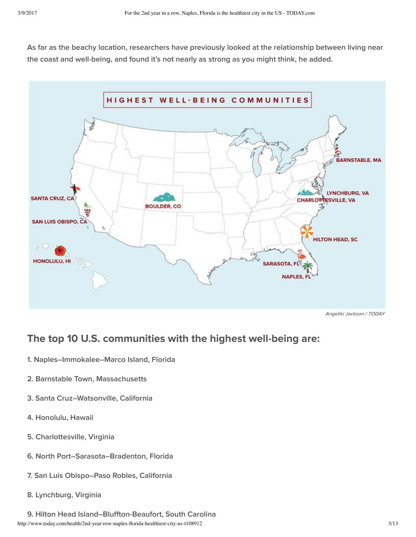As far as the beachy location, researchers have previously looked at the relationship between living near the coast and well-being, and found it's not nearly as strong as you might think, he added.



Angeliki Jackson / TODAY

## The top 10 U.S. communities with the highest well-being are:

- 1. Naples–Immokalee–Marco Island, Florida
- 2. Barnstable Town, Massachusetts
- 3. Santa Cruz–Watsonville, California
- 4. Honolulu, Hawaii
- 5. Charlottesville, Virginia
- 6. North Port–Sarasota–Bradenton, Florida
- 7. San Luis Obispo–Paso Robles, California
- 8. Lynchburg, Virginia
- http://www.today.com/health/2nd-year-row-naples-florida-healthiest-city-us-t108912 3/13 9. Hilton Head Island–Bluffton-Beaufort, South Carolina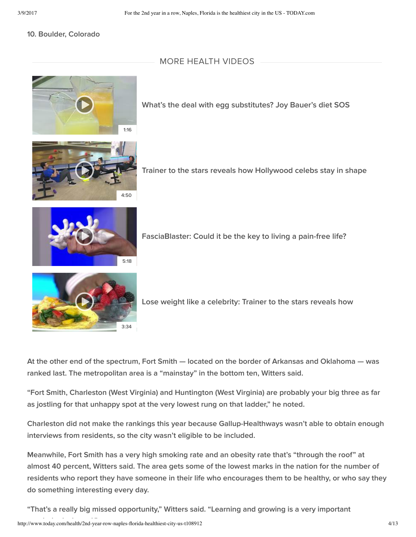#### 10. Boulder, Colorado

#### MORE HEALTH VIDEOS



What's the deal with egg substitutes? Joy Bauer's diet SOS



Trainer to the stars reveals how Hollywood celebs stay in shape



FasciaBlaster: Could it be the key to living a pain-free life?



Lose weight like a celebrity: Trainer to the stars reveals how

At the other end of the spectrum, Fort Smith — located on the border of Arkansas and Oklahoma — was ranked last. The metropolitan area is a "mainstay" in the bottom ten, Witters said.

"Fort Smith, Charleston (West Virginia) and Huntington (West Virginia) are probably your big three as far as jostling for that unhappy spot at the very lowest rung on that ladder," he noted.

Charleston did not make the rankings this year because Gallup-Healthways wasn't able to obtain enough interviews from residents, so the city wasn't eligible to be included.

Meanwhile, Fort Smith has a very high smoking rate and an obesity rate that's "through the roof" at almost 40 percent, Witters said. The area gets some of the lowest marks in the nation for the number of residents who report they have someone in their life who encourages them to be healthy, or who say they do something interesting every day.

"That's a really big missed opportunity," Witters said. "Learning and growing is a very important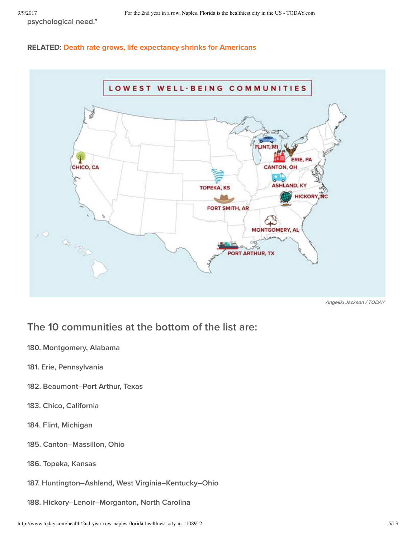psychological need."

#### RELATED: Death rate grows, life expectancy shrinks for Americans



Angeliki Jackson / TODAY

## The 10 communities at the bottom of the list are:

- 180. Montgomery, Alabama
- 181. Erie, Pennsylvania
- 182. Beaumont–Port Arthur, Texas
- 183. Chico, California
- 184. Flint, Michigan
- 185. Canton–Massillon, Ohio
- 186. Topeka, Kansas
- 187. Huntington–Ashland, West Virginia–Kentucky–Ohio
- 188. Hickory–Lenoir–Morganton, North Carolina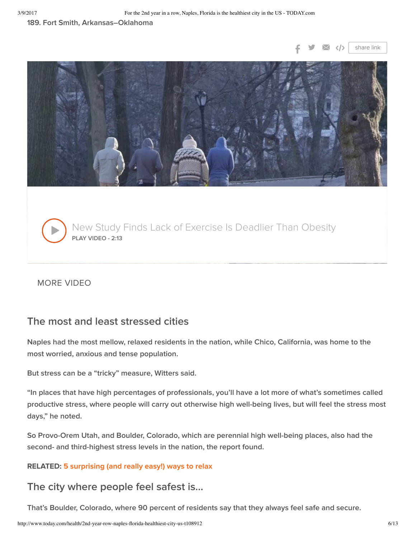#### 189. Fort Smith, Arkansas–Oklahoma





New Study Finds Lack of Exercise Is Deadlier Than Obesity PLAY VIDEO - 2:13  $\blacktriangleright$ 

### MORE VIDEO

### The most and least stressed cities

Naples had the most mellow, relaxed residents in the nation, while Chico, California, was home to the most worried, anxious and tense population.

But stress can be a "tricky" measure, Witters said.

"In places that have high percentages of professionals, you'll have a lot more of what's sometimes called productive stress, where people will carry out otherwise high well-being lives, but will feel the stress most days," he noted.

So Provo-Orem Utah, and Boulder, Colorado, which are perennial high well-being places, also had the second- and third-highest stress levels in the nation, the report found.

#### RELATED: 5 surprising (and really easy!) ways to relax

### The city where people feel safest is…

That's Boulder, Colorado, where 90 percent of residents say that they always feel safe and secure.